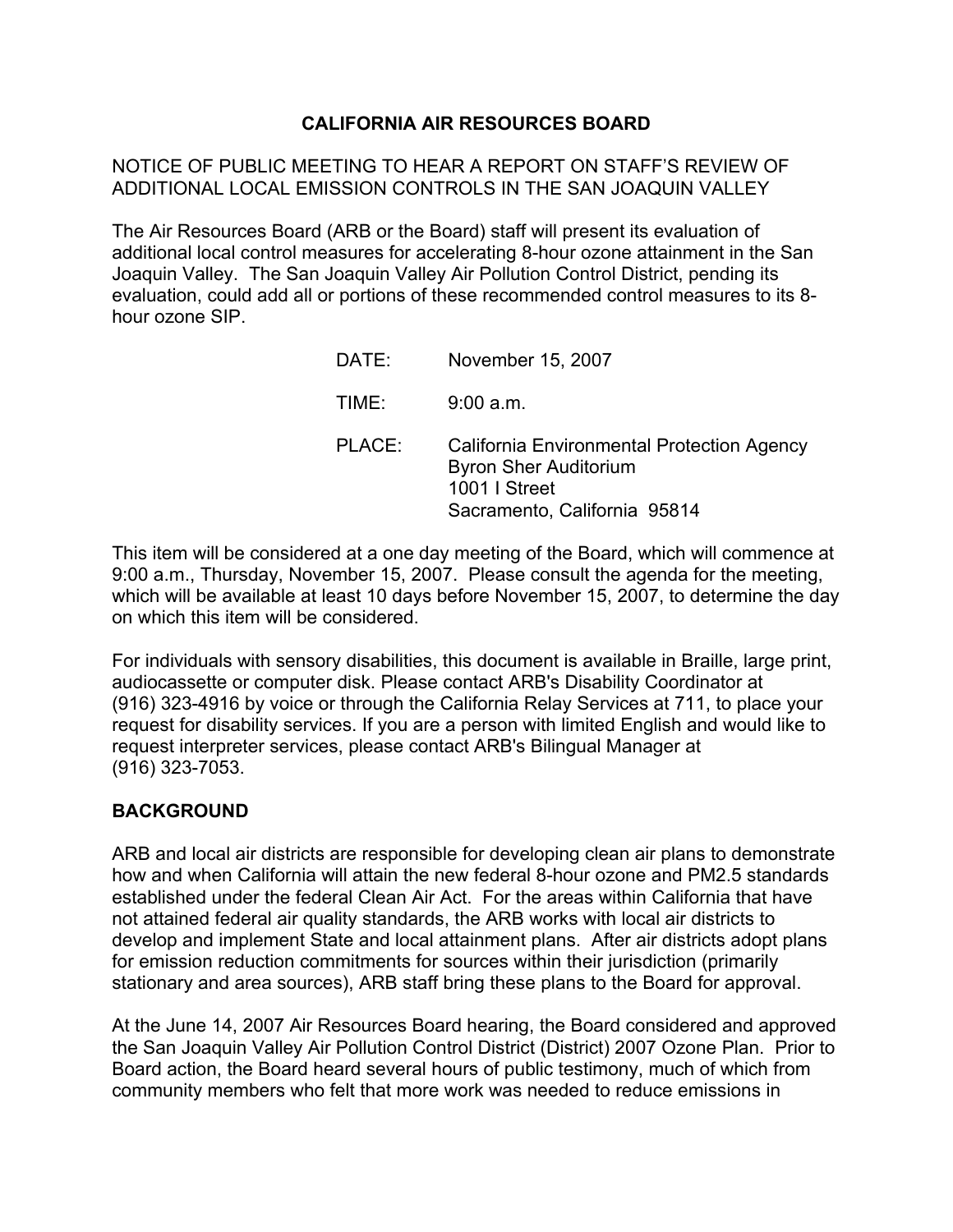# **CALIFORNIA AIR RESOURCES BOARD**

# NOTICE OF PUBLIC MEETING TO HEAR A REPORT ON STAFF'S REVIEW OF ADDITIONAL LOCAL EMISSION CONTROLS IN THE SAN JOAQUIN VALLEY

The Air Resources Board (ARB or the Board) staff will present its evaluation of additional local control measures for accelerating 8-hour ozone attainment in the San Joaquin Valley. The San Joaquin Valley Air Pollution Control District, pending its evaluation, could add all or portions of these recommended control measures to its 8 hour ozone SIP.

| DATE:  | November 15, 2007                                                                                                           |
|--------|-----------------------------------------------------------------------------------------------------------------------------|
| TIME:  | 9:00 a.m.                                                                                                                   |
| PLACE: | California Environmental Protection Agency<br><b>Byron Sher Auditorium</b><br>1001   Street<br>Sacramento, California 95814 |

This item will be considered at a one day meeting of the Board, which will commence at 9:00 a.m., Thursday, November 15, 2007. Please consult the agenda for the meeting, which will be available at least 10 days before November 15, 2007, to determine the day on which this item will be considered.

For individuals with sensory disabilities, this document is available in Braille, large print, audiocassette or computer disk. Please contact ARB's Disability Coordinator at (916) 323-4916 by voice or through the California Relay Services at 711, to place your request for disability services. If you are a person with limited English and would like to request interpreter services, please contact ARB's Bilingual Manager at (916) 323-7053.

### **BACKGROUND**

ARB and local air districts are responsible for developing clean air plans to demonstrate how and when California will attain the new federal 8-hour ozone and PM2.5 standards established under the federal Clean Air Act. For the areas within California that have not attained federal air quality standards, the ARB works with local air districts to develop and implement State and local attainment plans. After air districts adopt plans for emission reduction commitments for sources within their jurisdiction (primarily stationary and area sources), ARB staff bring these plans to the Board for approval.

At the June 14, 2007 Air Resources Board hearing, the Board considered and approved the San Joaquin Valley Air Pollution Control District (District) 2007 Ozone Plan. Prior to Board action, the Board heard several hours of public testimony, much of which from community members who felt that more work was needed to reduce emissions in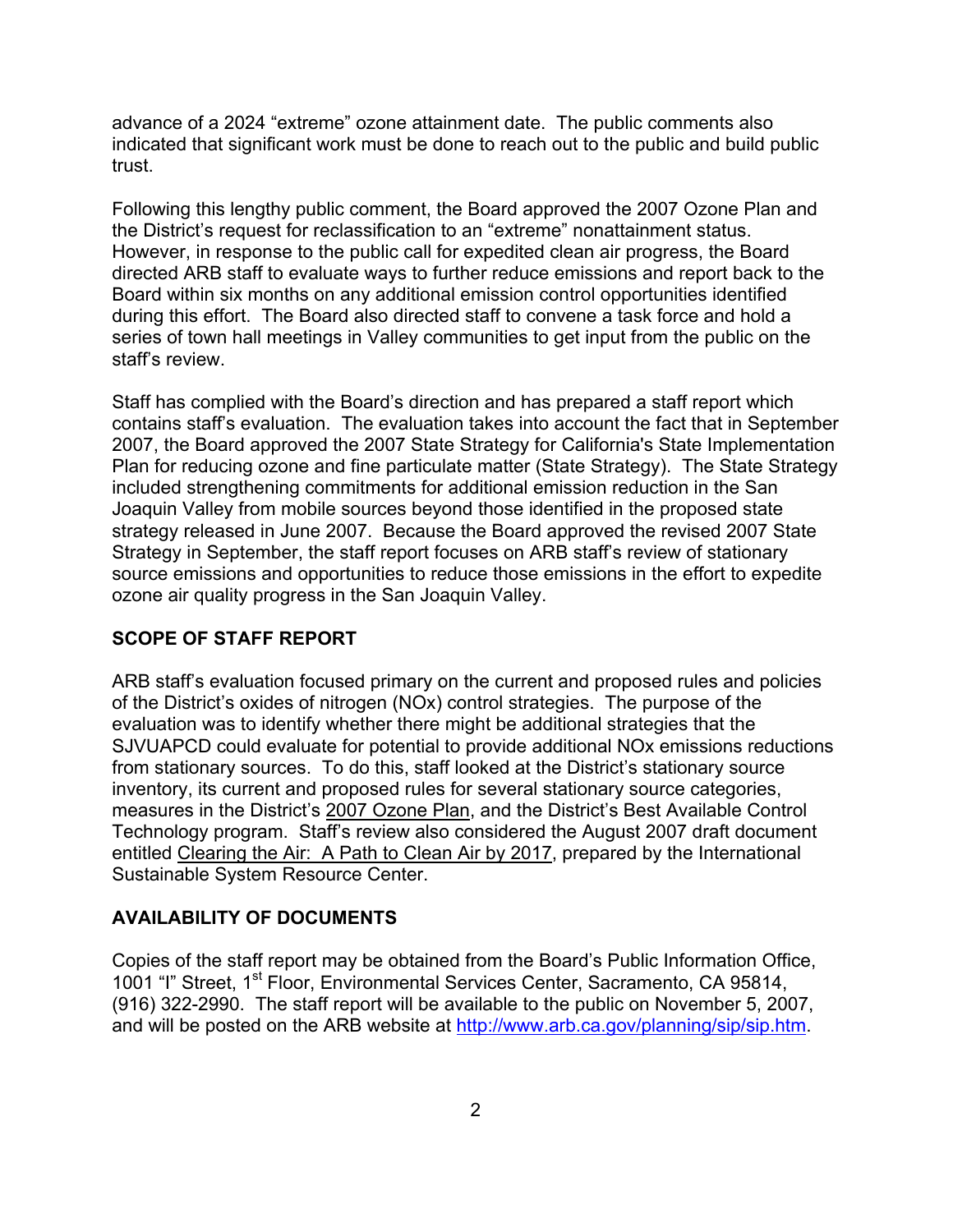advance of a 2024 "extreme" ozone attainment date. The public comments also indicated that significant work must be done to reach out to the public and build public trust.

Following this lengthy public comment, the Board approved the 2007 Ozone Plan and the District's request for reclassification to an "extreme" nonattainment status. However, in response to the public call for expedited clean air progress, the Board directed ARB staff to evaluate ways to further reduce emissions and report back to the Board within six months on any additional emission control opportunities identified during this effort. The Board also directed staff to convene a task force and hold a series of town hall meetings in Valley communities to get input from the public on the staff's review.

Staff has complied with the Board's direction and has prepared a staff report which contains staff's evaluation. The evaluation takes into account the fact that in September 2007, the Board approved the 2007 State Strategy for California's State Implementation Plan for reducing ozone and fine particulate matter (State Strategy). The State Strategy included strengthening commitments for additional emission reduction in the San Joaquin Valley from mobile sources beyond those identified in the proposed state strategy released in June 2007. Because the Board approved the revised 2007 State Strategy in September, the staff report focuses on ARB staff's review of stationary source emissions and opportunities to reduce those emissions in the effort to expedite ozone air quality progress in the San Joaquin Valley.

### **SCOPE OF STAFF REPORT**

ARB staff's evaluation focused primary on the current and proposed rules and policies of the District's oxides of nitrogen (NOx) control strategies. The purpose of the evaluation was to identify whether there might be additional strategies that the SJVUAPCD could evaluate for potential to provide additional NOx emissions reductions from stationary sources. To do this, staff looked at the District's stationary source inventory, its current and proposed rules for several stationary source categories, measures in the District's 2007 Ozone Plan, and the District's Best Available Control Technology program. Staff's review also considered the August 2007 draft document entitled Clearing the Air: A Path to Clean Air by 2017, prepared by the International Sustainable System Resource Center.

# **AVAILABILITY OF DOCUMENTS**

Copies of the staff report may be obtained from the Board's Public Information Office, 1001 "I" Street, 1<sup>st</sup> Floor, Environmental Services Center, Sacramento, CA 95814, (916) 322-2990. The staff report will be available to the public on November 5, 2007, and will be posted on the ARB website at<http://www.arb.ca.gov/planning/sip/sip.htm>.